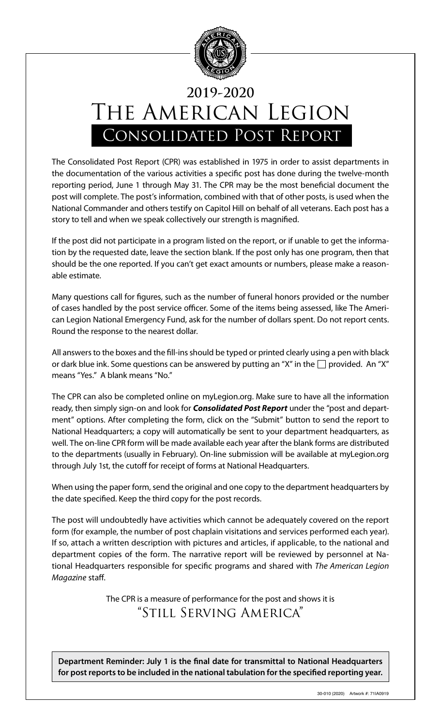

## THE AMERICAN LEGION Consolidated Post Report **2019-2020**

The Consolidated Post Report (CPR) was established in 1975 in order to assist departments in the documentation of the various activities a specific post has done during the twelve-month reporting period, June 1 through May 31. The CPR may be the most beneficial document the post will complete. The post's information, combined with that of other posts, is used when the National Commander and others testify on Capitol Hill on behalf of all veterans. Each post has a story to tell and when we speak collectively our strength is magnified.

If the post did not participate in a program listed on the report, or if unable to get the information by the requested date, leave the section blank. If the post only has one program, then that should be the one reported. If you can't get exact amounts or numbers, please make a reasonable estimate.

Many questions call for figures, such as the number of funeral honors provided or the number of cases handled by the post service officer. Some of the items being assessed, like The American Legion National Emergency Fund, ask for the number of dollars spent. Do not report cents. Round the response to the nearest dollar.

All answers to the boxes and the fill-ins should be typed or printed clearly using a pen with black or dark blue ink. Some questions can be answered by putting an "X" in the  $\Box$  provided. An "X" means "Yes." A blank means "No."

The CPR can also be completed online on myLegion.org. Make sure to have all the information ready, then simply sign-on and look for *Consolidated Post Report* under the "post and department" options. After completing the form, click on the "Submit" button to send the report to National Headquarters; a copy will automatically be sent to your department headquarters, as well. The on-line CPR form will be made available each year after the blank forms are distributed to the departments (usually in February). On-line submission will be available at myLegion.org through July 1st, the cutoff for receipt of forms at National Headquarters.

When using the paper form, send the original and one copy to the department headquarters by the date specified. Keep the third copy for the post records.

The post will undoubtedly have activities which cannot be adequately covered on the report form (for example, the number of post chaplain visitations and services performed each year). If so, attach a written description with pictures and articles, if applicable, to the national and department copies of the form. The narrative report will be reviewed by personnel at National Headquarters responsible for specific programs and shared with *The American Legion Magazine* staff.

> The CPR is a measure of performance for the post and shows it is "Still Serving America"

**Department Reminder: July 1 is the final date for transmittal to National Headquarters for post reports to be included in the national tabulation for the specified reporting year.**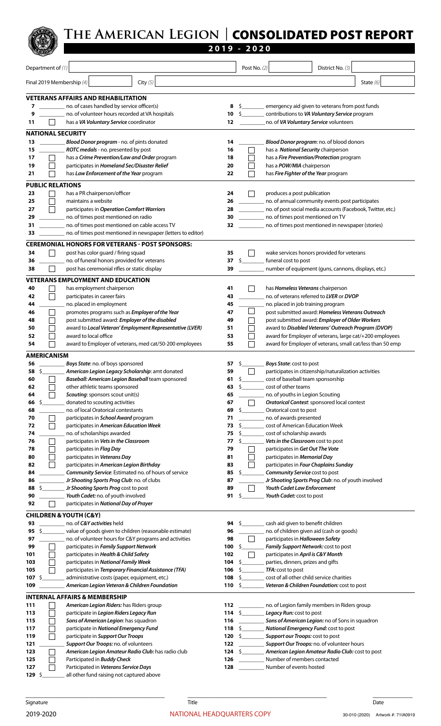

|                           |                                                                                                    |                   | $2019 - 2020$                              |                |                                                               |                                                                                                  |                                                            |
|---------------------------|----------------------------------------------------------------------------------------------------|-------------------|--------------------------------------------|----------------|---------------------------------------------------------------|--------------------------------------------------------------------------------------------------|------------------------------------------------------------|
| Department of (1)         |                                                                                                    |                   |                                            | Post No. $(2)$ |                                                               | District No. (3)                                                                                 |                                                            |
|                           |                                                                                                    |                   |                                            |                |                                                               |                                                                                                  |                                                            |
| Final 2019 Membership (4) | City $(5)$                                                                                         |                   |                                            |                |                                                               |                                                                                                  | State $(6)$                                                |
|                           | <b>VETERANS AFFAIRS AND REHABILITATION</b>                                                         |                   |                                            |                |                                                               |                                                                                                  |                                                            |
| 7<br>9                    | no. of cases handled by service officer(s)<br>no. of volunteer hours recorded at VA hospitals      | 8<br>10           |                                            |                |                                                               | emergency aid given to veterans from post funds<br>contributions to VA Voluntary Service program |                                                            |
| 11                        | has a VA Voluntary Service coordinator                                                             | 12                |                                            |                |                                                               | no. of VA Voluntary Service volunteers                                                           |                                                            |
| <b>NATIONAL SECURITY</b>  |                                                                                                    |                   |                                            |                |                                                               |                                                                                                  |                                                            |
| 13                        | Blood Donor program - no. of pints donated                                                         | 14                |                                            |                |                                                               | Blood Donor program: no. of blood donors                                                         |                                                            |
| 15                        | ROTC medals - no. presented by post                                                                | 16                |                                            |                | has a National Security chairperson                           |                                                                                                  |                                                            |
| 17                        | has a Crime Prevention/Law and Order program                                                       | 18                |                                            |                |                                                               | has a Fire Prevention/Protection program                                                         |                                                            |
| 19                        | participates in Homeland Sec/Disaster Relief                                                       | 20                |                                            |                | has a <b>POW/MIA</b> chairperson                              |                                                                                                  |                                                            |
| 21                        | has Law Enforcement of the Year program                                                            | 22                |                                            |                | has Fire Fighter of the Year program                          |                                                                                                  |                                                            |
| <b>PUBLIC RELATIONS</b>   |                                                                                                    |                   |                                            |                |                                                               |                                                                                                  |                                                            |
| 23<br>25                  | has a PR chairperson/officer<br>maintains a website                                                | 24<br>26          |                                            |                | produces a post publication                                   | no. of annual community events post participates                                                 |                                                            |
| 27                        | participates in Operation Comfort Warriors                                                         | 28                |                                            |                |                                                               | no. of post social media accounts (Facebook, Twitter, etc.)                                      |                                                            |
| 29                        | no. of times post mentioned on radio                                                               | 30                |                                            |                | no. of times post mentioned on TV                             |                                                                                                  |                                                            |
| 31                        | no. of times post mentioned on cable access TV                                                     | 32                |                                            |                |                                                               | no. of times post mentioned in newspaper (stories)                                               |                                                            |
| 33                        | no. of times post mentioned in newspaper (letters to editor)                                       |                   |                                            |                |                                                               |                                                                                                  |                                                            |
|                           | <b>CEREMONIAL HONORS FOR VETERANS - POST SPONSORS:</b>                                             |                   |                                            |                |                                                               |                                                                                                  |                                                            |
| 34                        | post has color guard / firing squad                                                                | 35                |                                            |                |                                                               | wake services honors provided for veterans                                                       |                                                            |
| 36<br>38                  | no. of funeral honors provided for veterans<br>post has ceremonial rifles or static display        | 37<br>39          | $\mathsf{S}$ , and the set of $\mathsf{S}$ |                | funeral cost to post                                          | number of equipment (guns, cannons, displays, etc.)                                              |                                                            |
|                           |                                                                                                    |                   |                                            |                |                                                               |                                                                                                  |                                                            |
| 40                        | <b>VETERANS EMPLOYMENT AND EDUCATION</b><br>has employment chairperson                             | 41                |                                            |                | has Homeless Veterans chairperson                             |                                                                                                  |                                                            |
| 42                        | participates in career fairs                                                                       | 43                |                                            |                |                                                               | no. of veterans referred to LVER or DVOP                                                         |                                                            |
| 44                        | no. placed in employment                                                                           | 45                |                                            |                | no. placed in job training program                            |                                                                                                  |                                                            |
| 46                        | promotes programs such as <i>Employer of the Year</i>                                              | 47                |                                            |                |                                                               | post submitted award: Homeless Veterans Outreach                                                 |                                                            |
| 48                        | post submitted award: Employer of the disabled                                                     | 49                |                                            |                |                                                               | post submitted award: Employer of Older Workers                                                  |                                                            |
| 50<br>52                  | award to Local Veteran' Employment Representative (LVER)<br>award to local office                  | 51<br>53          |                                            |                |                                                               | award to Disabled Veterans' Outreach Program (DVOP)                                              | award for Employer of veterans, large cat/+200 employees   |
| 54                        | award to Employer of veterans, med cat/50-200 employees                                            | 55                |                                            |                |                                                               |                                                                                                  | award for Employer of veterans, small cat/less than 50 emp |
| <b>AMERICANISM</b>        |                                                                                                    |                   |                                            |                |                                                               |                                                                                                  |                                                            |
| 56                        | Boys State: no. of boys sponsored                                                                  | 57                | S.                                         |                | Boys State: cost to post                                      |                                                                                                  |                                                            |
| 58<br>\$                  | American Legion Legacy Scholarship: amt donated                                                    | 59                |                                            |                |                                                               | participates in citizenship/naturalization activities                                            |                                                            |
| 60                        | Baseball: American Legion Baseball team sponsored                                                  | 61                | s                                          |                | cost of baseball team sponsorship                             |                                                                                                  |                                                            |
| 62<br>64                  | other athletic teams sponsored<br>Scouting: sponsors scout unit(s)                                 | 63<br>65          | Ś.                                         |                | cost of other teams<br>no. of youths in Legion Scouting       |                                                                                                  |                                                            |
| \$.<br>66                 | donated to scouting activities                                                                     | 67                |                                            |                |                                                               | <b>Oratorical Contest:</b> sponsored local contest                                               |                                                            |
| 68                        | no. of local Oratorical contestants                                                                | 69                | \$                                         |                | Oratorical cost to post                                       |                                                                                                  |                                                            |
| 70                        | participates in School Award program                                                               | 71                |                                            |                | no. of awards presented                                       |                                                                                                  |                                                            |
| 72<br>74                  | participates in American Education Week<br>no. of scholarships awarded                             | 73<br>75          | \$                                         |                | cost of American Education Week<br>cost of scholarship awards |                                                                                                  |                                                            |
| 76                        | participates in Vets in the Classroom                                                              | 77                | \$                                         |                | Vets in the Classroom cost to post                            |                                                                                                  |                                                            |
| 78                        | participates in Flag Day                                                                           | 79                |                                            |                | participates in Get Out The Vote                              |                                                                                                  |                                                            |
| 80                        | participates in Veterans Day                                                                       | 81                |                                            |                | participates in Memorial Day                                  |                                                                                                  |                                                            |
| 82<br>84                  | participates in American Legion Birthday                                                           | 83<br>85          | \$                                         |                |                                                               | participates in Four Chaplains Sunday                                                            |                                                            |
| 86                        | Community Service: Estimated no. of hours of service<br>Jr Shooting Sports Prog Club: no. of clubs | 87                |                                            |                | Community Service cost to post                                | Jr Shooting Sports Prog Club: no. of youth involved                                              |                                                            |
| \$<br>88                  | Jr Shooting Sports Prog cost to post                                                               | 89                |                                            |                | <b>Youth Cadet Law Enforcement</b>                            |                                                                                                  |                                                            |
| 90                        | Youth Cadet: no. of youth involved                                                                 | 91                | s                                          |                | Youth Cadet: cost to post                                     |                                                                                                  |                                                            |
| 92                        | participates in National Day of Prayer                                                             |                   |                                            |                |                                                               |                                                                                                  |                                                            |
|                           | <b>CHILDREN &amp; YOUTH (C&amp;Y)</b>                                                              |                   |                                            |                |                                                               |                                                                                                  |                                                            |
| 93<br>95<br>\$            | no. of <b>C&amp;Y</b> activities held<br>value of goods given to children (reasonable estimate)    | 94<br>96          |                                            |                | cash aid given to benefit children                            | no. of children given aid (cash or goods)                                                        |                                                            |
| 97                        | no. of volunteer hours for C&Y programs and activities                                             | 98                |                                            |                | participates in Halloween Safety                              |                                                                                                  |                                                            |
| 99                        | participates in Family Support Network                                                             | 100               | S                                          |                |                                                               | Family Support Network: cost to post                                                             |                                                            |
| 101                       | participates in Health & Child Safety                                                              | 102               |                                            |                | participates in April is C&Y Month                            |                                                                                                  |                                                            |
| 103<br>105                | participates in National Family Week<br>participates in Temporary Financial Assistance (TFA)       | 104<br>106        | \$<br>S                                    |                | parties, dinners, prizes and gifts<br>TFA: cost to post       |                                                                                                  |                                                            |
| 107<br>-\$                | administrative costs (paper, equipment, etc.)                                                      | 108               | Ş.                                         |                | cost of all other child service charities                     |                                                                                                  |                                                            |
| 109                       | American Legion Veteran & Children Foundation                                                      | 110 $\frac{1}{2}$ |                                            |                |                                                               | Veteran & Children Foundation: cost to post                                                      |                                                            |
|                           | <b>INTERNAL AFFAIRS &amp; MEMBERSHIP</b>                                                           |                   |                                            |                |                                                               |                                                                                                  |                                                            |
| 111                       | American Legion Riders: has Riders group                                                           | 112               |                                            |                |                                                               | no. of Legion family members in Riders group                                                     |                                                            |
| 113                       | participate in Legion Riders Legacy Run                                                            |                   | 114 \$                                     |                | Legacy Run: cost to post                                      |                                                                                                  |                                                            |
| 115                       | Sons of American Legion: has squadron                                                              | 116               |                                            |                |                                                               | Sons of American Legion: no of Sons in squadron                                                  |                                                            |
| 117<br>119                | participate in National Emergency Fund<br>participate in Support Our Troops                        | 118<br>120        | - S<br>$\mathsf{S}$ and $\mathsf{S}$       |                | Support our Troops: cost to post                              | National Emergency Fund: cost to post                                                            |                                                            |
| 121                       | Support Our Troops: no. of volunteers                                                              | 122               |                                            |                |                                                               | Support Our Troops: no. of volunteer hours                                                       |                                                            |
| 123                       | American Legion Amateur Radio Club: has radio club                                                 | 124               | $\mathsf{S}$                               |                |                                                               | American Legion Amateur Radio Club: cost to post                                                 |                                                            |
| 125                       | Participated in <b>Buddy Check</b>                                                                 | 126               |                                            |                | Number of members contacted<br>Number of events hosted        |                                                                                                  |                                                            |
| 127<br>129 \$             | Participated in Veterans Service Days<br>all other fund raising not captured above                 | 128               |                                            |                |                                                               |                                                                                                  |                                                            |

\_\_\_\_\_\_\_\_\_\_\_\_\_\_\_\_\_\_\_\_\_\_\_\_\_\_\_\_\_\_\_\_\_\_\_\_\_\_\_\_\_\_ \_\_\_\_\_\_\_\_\_\_\_\_\_\_\_\_\_\_\_\_\_\_\_\_\_\_\_\_\_\_\_\_\_\_\_\_\_\_\_\_\_\_ \_\_\_\_\_\_\_\_\_\_\_\_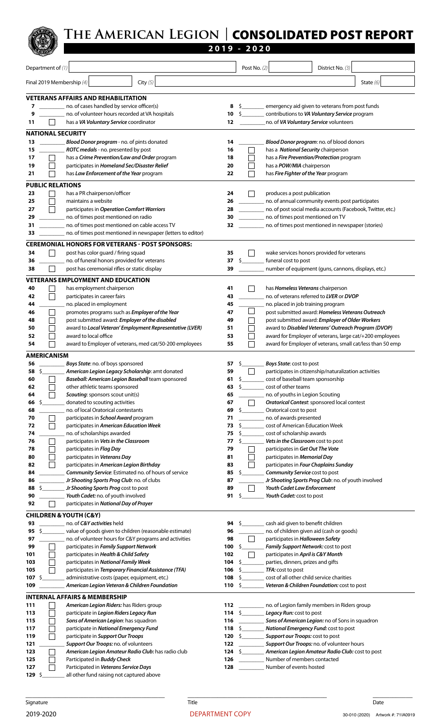

|                                |                                                                                                         |                          | 2019 - 2020                                        |  |                                                                  |                                                                                                     |                                                            |
|--------------------------------|---------------------------------------------------------------------------------------------------------|--------------------------|----------------------------------------------------|--|------------------------------------------------------------------|-----------------------------------------------------------------------------------------------------|------------------------------------------------------------|
| Department of (1)              |                                                                                                         |                          | Post No. $(2)$                                     |  |                                                                  | District No. (3)                                                                                    |                                                            |
|                                |                                                                                                         |                          |                                                    |  |                                                                  |                                                                                                     |                                                            |
| Final 2019 Membership (4)      | City $(5)$                                                                                              |                          |                                                    |  |                                                                  |                                                                                                     | State $(6)$                                                |
|                                | <b>VETERANS AFFAIRS AND REHABILITATION</b>                                                              |                          |                                                    |  |                                                                  |                                                                                                     |                                                            |
|                                | no. of cases handled by service officer(s)                                                              | 8                        |                                                    |  |                                                                  | emergency aid given to veterans from post funds                                                     |                                                            |
| 9<br>11                        | no. of volunteer hours recorded at VA hospitals<br>has a VA Voluntary Service coordinator               | 10<br>12                 |                                                    |  |                                                                  | contributions to VA Voluntary Service program<br>no. of VA Voluntary Service volunteers             |                                                            |
|                                |                                                                                                         |                          |                                                    |  |                                                                  |                                                                                                     |                                                            |
| <b>NATIONAL SECURITY</b><br>13 | Blood Donor program - no. of pints donated                                                              | 14                       |                                                    |  |                                                                  | Blood Donor program: no. of blood donors                                                            |                                                            |
| 15                             | ROTC medals - no. presented by post                                                                     | 16                       |                                                    |  | has a National Security chairperson                              |                                                                                                     |                                                            |
| 17                             | has a Crime Prevention/Law and Order program                                                            | 18                       |                                                    |  |                                                                  | has a Fire Prevention/Protection program                                                            |                                                            |
| 19                             | participates in Homeland Sec/Disaster Relief                                                            | 20                       |                                                    |  | has a <b>POW/MIA</b> chairperson                                 |                                                                                                     |                                                            |
| 21                             | has Law Enforcement of the Year program                                                                 | 22                       |                                                    |  | has Fire Fighter of the Year program                             |                                                                                                     |                                                            |
| <b>PUBLIC RELATIONS</b>        |                                                                                                         |                          |                                                    |  |                                                                  |                                                                                                     |                                                            |
| 23<br>25                       | has a PR chairperson/officer<br>maintains a website                                                     | 24<br>26                 |                                                    |  | produces a post publication                                      | no. of annual community events post participates                                                    |                                                            |
| 27                             | participates in Operation Comfort Warriors                                                              | 28                       |                                                    |  |                                                                  | no. of post social media accounts (Facebook, Twitter, etc.)                                         |                                                            |
| 29                             | no. of times post mentioned on radio                                                                    | 30                       | no. of times post mentioned on TV                  |  |                                                                  |                                                                                                     |                                                            |
| 31                             | no. of times post mentioned on cable access TV                                                          | 32                       | no. of times post mentioned in newspaper (stories) |  |                                                                  |                                                                                                     |                                                            |
| 33                             | no. of times post mentioned in newspaper (letters to editor)                                            |                          |                                                    |  |                                                                  |                                                                                                     |                                                            |
|                                | <b>CEREMONIAL HONORS FOR VETERANS - POST SPONSORS:</b>                                                  |                          |                                                    |  |                                                                  |                                                                                                     |                                                            |
| 34<br>36                       | post has color guard / firing squad<br>no. of funeral honors provided for veterans                      | 35<br>37                 | $\mathsf{\hat{S}}$                                 |  | funeral cost to post                                             | wake services honors provided for veterans                                                          |                                                            |
| 38                             | post has ceremonial rifles or static display                                                            | 39                       |                                                    |  |                                                                  | number of equipment (guns, cannons, displays, etc.)                                                 |                                                            |
|                                | <b>VETERANS EMPLOYMENT AND EDUCATION</b>                                                                |                          |                                                    |  |                                                                  |                                                                                                     |                                                            |
| 40                             | has employment chairperson                                                                              | 41                       |                                                    |  | has Homeless Veterans chairperson                                |                                                                                                     |                                                            |
| 42                             | participates in career fairs                                                                            | 43                       |                                                    |  |                                                                  | no. of veterans referred to LVER or DVOP                                                            |                                                            |
| 44                             | no. placed in employment                                                                                | 45                       |                                                    |  | no. placed in job training program                               |                                                                                                     |                                                            |
| 46<br>48                       | promotes programs such as <i>Employer</i> of the Year<br>post submitted award: Employer of the disabled | 47<br>49                 |                                                    |  |                                                                  | post submitted award: Homeless Veterans Outreach<br>post submitted award: Employer of Older Workers |                                                            |
| 50                             | award to Local Veteran' Employment Representative (LVER)                                                | 51                       |                                                    |  |                                                                  | award to Disabled Veterans' Outreach Program (DVOP)                                                 |                                                            |
| 52                             | award to local office                                                                                   | 53                       |                                                    |  |                                                                  |                                                                                                     | award for Employer of veterans, large cat/+200 employees   |
| 54                             | award to Employer of veterans, med cat/50-200 employees                                                 | 55                       |                                                    |  |                                                                  |                                                                                                     | award for Employer of veterans, small cat/less than 50 emp |
| AMERICANISM                    |                                                                                                         |                          |                                                    |  |                                                                  |                                                                                                     |                                                            |
| 56                             | Boys State: no. of boys sponsored                                                                       | 57                       | S.                                                 |  | Boys State: cost to post                                         |                                                                                                     |                                                            |
| 58<br>Ş<br>60                  | American Legion Legacy Scholarship: amt donated<br>Baseball: American Legion Baseball team sponsored    | 59<br>61                 | s                                                  |  | cost of baseball team sponsorship                                | participates in citizenship/naturalization activities                                               |                                                            |
| 62                             | other athletic teams sponsored                                                                          | 63                       | \$                                                 |  | cost of other teams                                              |                                                                                                     |                                                            |
| 64                             | Scouting: sponsors scout unit(s)                                                                        | 65                       |                                                    |  | no. of youths in Legion Scouting                                 |                                                                                                     |                                                            |
| \$.<br>66                      | donated to scouting activities                                                                          | 67                       |                                                    |  |                                                                  | Oratorical Contest: sponsored local contest                                                         |                                                            |
| 68<br>70                       | no. of local Oratorical contestants<br>participates in School Award program                             | 69<br>71                 | S.                                                 |  | Oratorical cost to post<br>no. of awards presented               |                                                                                                     |                                                            |
| 72                             | participates in American Education Week                                                                 | 73                       |                                                    |  | cost of American Education Week                                  |                                                                                                     |                                                            |
| 74                             | no. of scholarships awarded                                                                             | 75                       | S.                                                 |  | cost of scholarship awards                                       |                                                                                                     |                                                            |
| 76                             | participates in Vets in the Classroom                                                                   | 77                       | \$                                                 |  | Vets in the Classroom cost to post                               |                                                                                                     |                                                            |
| 78<br>80                       | participates in Flag Day<br>participates in Veterans Day                                                | 79<br>81                 |                                                    |  | participates in Get Out The Vote<br>participates in Memorial Day |                                                                                                     |                                                            |
| 82                             | participates in American Legion Birthday                                                                | 83                       |                                                    |  |                                                                  | participates in Four Chaplains Sunday                                                               |                                                            |
| 84                             | Community Service: Estimated no. of hours of service                                                    | 85                       | \$                                                 |  | Community Service cost to post                                   |                                                                                                     |                                                            |
| 86<br>88<br>Ş.                 | Jr Shooting Sports Prog Club: no. of clubs<br>Jr Shooting Sports Prog cost to post                      | 87<br>89                 |                                                    |  | <b>Youth Cadet Law Enforcement</b>                               | Jr Shooting Sports Prog Club: no. of youth involved                                                 |                                                            |
| 90                             | Youth Cadet: no. of youth involved                                                                      | 91                       | S                                                  |  | Youth Cadet: cost to post                                        |                                                                                                     |                                                            |
| 92                             | participates in National Day of Prayer                                                                  |                          |                                                    |  |                                                                  |                                                                                                     |                                                            |
|                                | <b>CHILDREN &amp; YOUTH (C&amp;Y)</b>                                                                   |                          |                                                    |  |                                                                  |                                                                                                     |                                                            |
| 93                             | no. of C&Y activities held                                                                              | 94                       |                                                    |  | cash aid given to benefit children                               |                                                                                                     |                                                            |
| $\zeta$<br>95                  | value of goods given to children (reasonable estimate)                                                  | 96                       |                                                    |  |                                                                  | no. of children given aid (cash or goods)                                                           |                                                            |
| 97<br>99                       | no. of volunteer hours for C&Y programs and activities<br>participates in Family Support Network        | 98<br>100                | S                                                  |  | participates in Halloween Safety                                 | Family Support Network: cost to post                                                                |                                                            |
| 101                            | participates in Health & Child Safety                                                                   | 102                      |                                                    |  | participates in April is C&Y Month                               |                                                                                                     |                                                            |
| 103                            | participates in National Family Week                                                                    | 104                      | \$                                                 |  | parties, dinners, prizes and gifts                               |                                                                                                     |                                                            |
| 105                            | participates in Temporary Financial Assistance (TFA)                                                    | 106                      | S                                                  |  | TFA: cost to post                                                |                                                                                                     |                                                            |
| 107 S<br>109                   | administrative costs (paper, equipment, etc.)<br>American Legion Veteran & Children Foundation          | 108<br>110               | S.<br>- \$                                         |  | cost of all other child service charities                        | Veteran & Children Foundation: cost to post                                                         |                                                            |
|                                | <b>INTERNAL AFFAIRS &amp; MEMBERSHIP</b>                                                                |                          |                                                    |  |                                                                  |                                                                                                     |                                                            |
| 111                            | American Legion Riders: has Riders group                                                                | 112                      |                                                    |  |                                                                  | no. of Legion family members in Riders group                                                        |                                                            |
| 113                            | participate in Legion Riders Legacy Run                                                                 | 114 \$                   |                                                    |  | Legacy Run: cost to post                                         |                                                                                                     |                                                            |
| 115                            | Sons of American Legion: has squadron                                                                   | 116                      |                                                    |  |                                                                  | Sons of American Legion: no of Sons in squadron                                                     |                                                            |
| 117<br>119                     | participate in National Emergency Fund<br>participate in Support Our Troops                             | 118 $\frac{1}{2}$<br>120 | S.                                                 |  | Support our Troops: cost to post                                 | National Emergency Fund: cost to post                                                               |                                                            |
| 121                            | Support Our Troops: no. of volunteers                                                                   | 122                      |                                                    |  |                                                                  | Support Our Troops: no. of volunteer hours                                                          |                                                            |
| 123                            | American Legion Amateur Radio Club: has radio club                                                      | 124                      | \$                                                 |  |                                                                  | American Legion Amateur Radio Club: cost to post                                                    |                                                            |
| 125                            | Participated in <b>Buddy Check</b>                                                                      | 126                      |                                                    |  | Number of members contacted                                      |                                                                                                     |                                                            |
| 127<br>$129 \;$ \$             | Participated in Veterans Service Days<br>all other fund raising not captured above                      | 128                      |                                                    |  | Number of events hosted                                          |                                                                                                     |                                                            |
|                                |                                                                                                         |                          |                                                    |  |                                                                  |                                                                                                     |                                                            |

\_\_\_\_\_\_\_\_\_\_\_\_\_\_\_\_\_\_\_\_\_\_\_\_\_\_\_\_\_\_\_\_\_\_\_\_\_\_\_\_\_\_ \_\_\_\_\_\_\_\_\_\_\_\_\_\_\_\_\_\_\_\_\_\_\_\_\_\_\_\_\_\_\_\_\_\_\_\_\_\_\_\_\_\_ \_\_\_\_\_\_\_\_\_\_\_\_